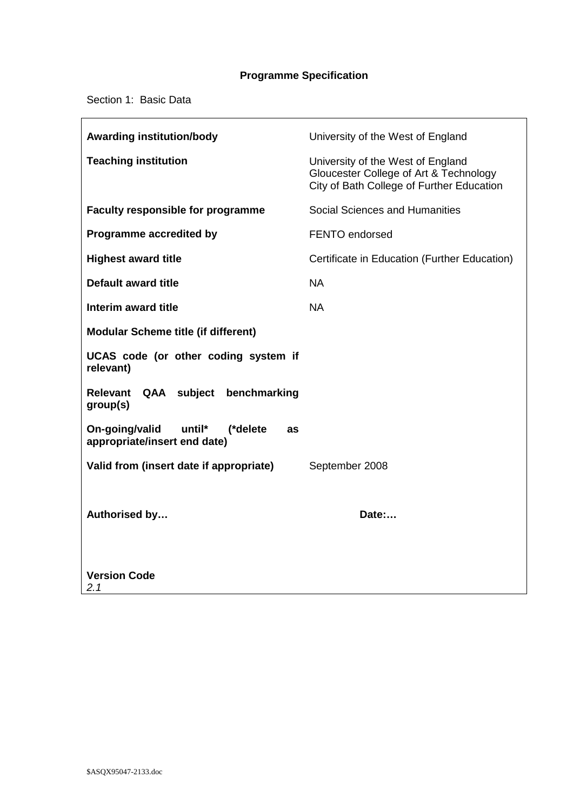# **Programme Specification**

Section 1: Basic Data

 $\mathbf{r}$ 

| <b>Awarding institution/body</b>                                           | University of the West of England                                                                                        |
|----------------------------------------------------------------------------|--------------------------------------------------------------------------------------------------------------------------|
| <b>Teaching institution</b>                                                | University of the West of England<br>Gloucester College of Art & Technology<br>City of Bath College of Further Education |
| <b>Faculty responsible for programme</b>                                   | Social Sciences and Humanities                                                                                           |
| Programme accredited by                                                    | <b>FENTO endorsed</b>                                                                                                    |
| <b>Highest award title</b>                                                 | Certificate in Education (Further Education)                                                                             |
| Default award title                                                        | <b>NA</b>                                                                                                                |
| Interim award title                                                        | <b>NA</b>                                                                                                                |
| <b>Modular Scheme title (if different)</b>                                 |                                                                                                                          |
| UCAS code (or other coding system if<br>relevant)                          |                                                                                                                          |
| Relevant QAA subject<br>benchmarking<br>group(s)                           |                                                                                                                          |
| On-going/valid<br>until*<br>(*delete<br>as<br>appropriate/insert end date) |                                                                                                                          |
| Valid from (insert date if appropriate)                                    | September 2008                                                                                                           |
|                                                                            |                                                                                                                          |
| Authorised by                                                              | Date:                                                                                                                    |
|                                                                            |                                                                                                                          |
| <b>Version Code</b><br>2.1                                                 |                                                                                                                          |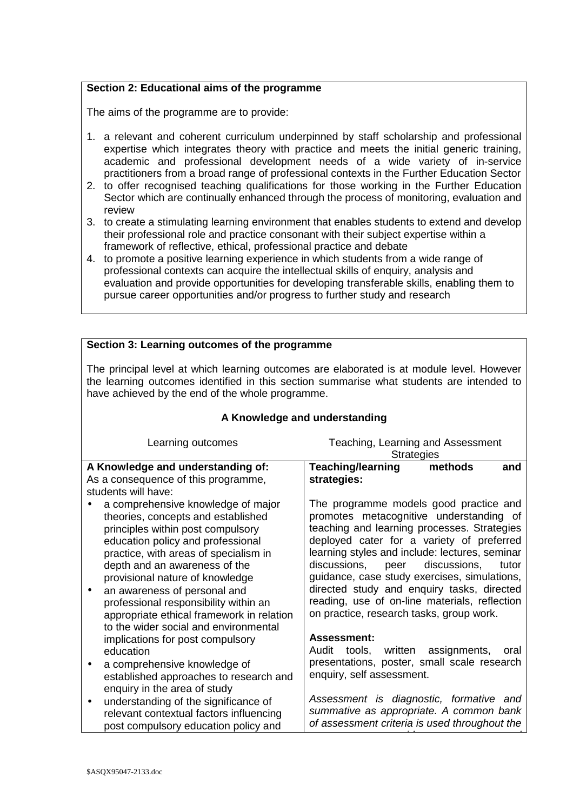#### **Section 2: Educational aims of the programme**

The aims of the programme are to provide:

- 1. a relevant and coherent curriculum underpinned by staff scholarship and professional expertise which integrates theory with practice and meets the initial generic training, academic and professional development needs of a wide variety of in-service practitioners from a broad range of professional contexts in the Further Education Sector
- 2. to offer recognised teaching qualifications for those working in the Further Education Sector which are continually enhanced through the process of monitoring, evaluation and review
- 3. to create a stimulating learning environment that enables students to extend and develop their professional role and practice consonant with their subject expertise within a framework of reflective, ethical, professional practice and debate
- 4. to promote a positive learning experience in which students from a wide range of professional contexts can acquire the intellectual skills of enquiry, analysis and evaluation and provide opportunities for developing transferable skills, enabling them to pursue career opportunities and/or progress to further study and research

| Section 3: Learning outcomes of the programme                                                                                                                                                                                             |       |  |
|-------------------------------------------------------------------------------------------------------------------------------------------------------------------------------------------------------------------------------------------|-------|--|
|                                                                                                                                                                                                                                           |       |  |
| The principal level at which learning outcomes are elaborated is at module level. However<br>the learning outcomes identified in this section summarise what students are intended to<br>have achieved by the end of the whole programme. |       |  |
| A Knowledge and understanding                                                                                                                                                                                                             |       |  |
| Teaching, Learning and Assessment<br>Learning outcomes<br><b>Strategies</b>                                                                                                                                                               |       |  |
| <b>Teaching/learning</b><br>A Knowledge and understanding of:<br>methods                                                                                                                                                                  | and   |  |
| As a consequence of this programme,<br>strategies:                                                                                                                                                                                        |       |  |
| students will have:                                                                                                                                                                                                                       |       |  |
|                                                                                                                                                                                                                                           |       |  |
| The programme models good practice and<br>a comprehensive knowledge of major                                                                                                                                                              |       |  |
| promotes metacognitive understanding of<br>theories, concepts and established                                                                                                                                                             |       |  |
| teaching and learning processes. Strategies<br>principles within post compulsory                                                                                                                                                          |       |  |
| deployed cater for a variety of preferred<br>education policy and professional                                                                                                                                                            |       |  |
| learning styles and include: lectures, seminar<br>practice, with areas of specialism in                                                                                                                                                   |       |  |
| discussions,<br>discussions,<br>depth and an awareness of the<br>peer                                                                                                                                                                     | tutor |  |
| guidance, case study exercises, simulations,<br>provisional nature of knowledge                                                                                                                                                           |       |  |
| directed study and enquiry tasks, directed                                                                                                                                                                                                |       |  |
| an awareness of personal and<br>$\bullet$                                                                                                                                                                                                 |       |  |
| reading, use of on-line materials, reflection<br>professional responsibility within an                                                                                                                                                    |       |  |
| on practice, research tasks, group work.<br>appropriate ethical framework in relation                                                                                                                                                     |       |  |
| to the wider social and environmental                                                                                                                                                                                                     |       |  |
| <b>Assessment:</b><br>implications for post compulsory                                                                                                                                                                                    |       |  |
| Audit<br>written<br>assignments,<br>tools,<br>education                                                                                                                                                                                   | oral  |  |
| presentations, poster, small scale research<br>a comprehensive knowledge of                                                                                                                                                               |       |  |
| enquiry, self assessment.<br>established approaches to research and                                                                                                                                                                       |       |  |
| enquiry in the area of study                                                                                                                                                                                                              |       |  |
| Assessment is diagnostic, formative and<br>understanding of the significance of<br>$\bullet$                                                                                                                                              |       |  |
| summative as appropriate. A common bank<br>relevant contextual factors influencing                                                                                                                                                        |       |  |
| of assessment criteria is used throughout the                                                                                                                                                                                             |       |  |
| post compulsory education policy and                                                                                                                                                                                                      |       |  |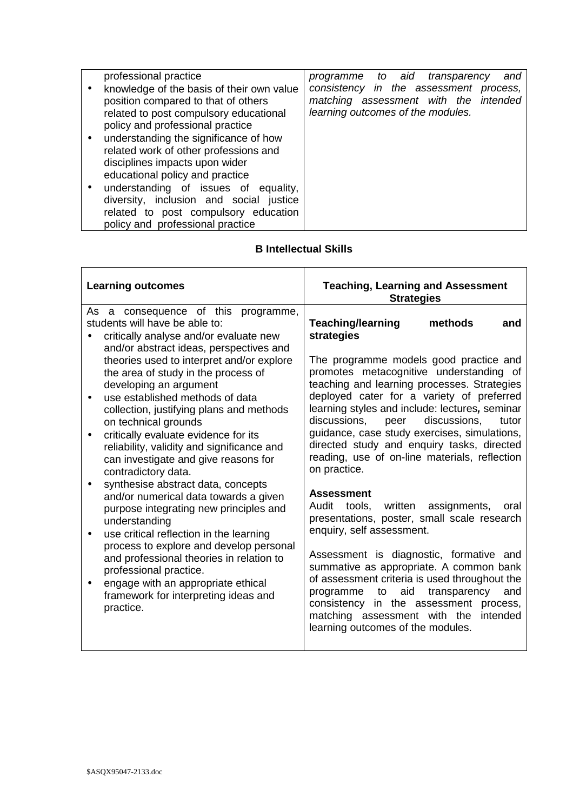| professional practice                     | programme to aid transparency<br>and   |
|-------------------------------------------|----------------------------------------|
| knowledge of the basis of their own value | consistency in the assessment process, |
| position compared to that of others       | matching assessment with the intended  |
| related to post compulsory educational    | learning outcomes of the modules.      |
| policy and professional practice          |                                        |
| understanding the significance of how     |                                        |
| related work of other professions and     |                                        |
| disciplines impacts upon wider            |                                        |
| educational policy and practice           |                                        |
| understanding of issues of equality,      |                                        |
| diversity, inclusion and social justice   |                                        |
| related to post compulsory education      |                                        |
| policy and professional practice          |                                        |

## **B Intellectual Skills**

| <b>Learning outcomes</b>                                                                                                                                                                                                                                                                                                                                                                                                                                                                        | <b>Teaching, Learning and Assessment</b><br><b>Strategies</b>                                                                                                                                                                                                                                                                                                                                                                                                                               |
|-------------------------------------------------------------------------------------------------------------------------------------------------------------------------------------------------------------------------------------------------------------------------------------------------------------------------------------------------------------------------------------------------------------------------------------------------------------------------------------------------|---------------------------------------------------------------------------------------------------------------------------------------------------------------------------------------------------------------------------------------------------------------------------------------------------------------------------------------------------------------------------------------------------------------------------------------------------------------------------------------------|
| As a consequence of this programme,<br>students will have be able to:<br>critically analyse and/or evaluate new<br>and/or abstract ideas, perspectives and<br>theories used to interpret and/or explore<br>the area of study in the process of<br>developing an argument<br>use established methods of data<br>$\bullet$<br>collection, justifying plans and methods<br>on technical grounds<br>critically evaluate evidence for its<br>$\bullet$<br>reliability, validity and significance and | <b>Teaching/learning</b><br>methods<br>and<br>strategies<br>The programme models good practice and<br>promotes metacognitive understanding of<br>teaching and learning processes. Strategies<br>deployed cater for a variety of preferred<br>learning styles and include: lectures, seminar<br>discussions.<br>discussions,<br>peer<br>tutor<br>guidance, case study exercises, simulations,<br>directed study and enquiry tasks, directed<br>reading, use of on-line materials, reflection |
| can investigate and give reasons for<br>contradictory data.<br>synthesise abstract data, concepts<br>٠<br>and/or numerical data towards a given<br>purpose integrating new principles and<br>understanding<br>use critical reflection in the learning<br>$\bullet$<br>process to explore and develop personal<br>and professional theories in relation to<br>professional practice.<br>engage with an appropriate ethical<br>$\bullet$<br>framework for interpreting ideas and<br>practice.     | on practice.<br><b>Assessment</b><br>assignments,<br>Audit<br>tools,<br>written<br>oral<br>presentations, poster, small scale research<br>enquiry, self assessment.<br>Assessment is diagnostic, formative and<br>summative as appropriate. A common bank<br>of assessment criteria is used throughout the<br>aid<br>transparency<br>and<br>programme<br>to<br>consistency in the assessment process,<br>matching assessment with the<br>intended<br>learning outcomes of the modules.      |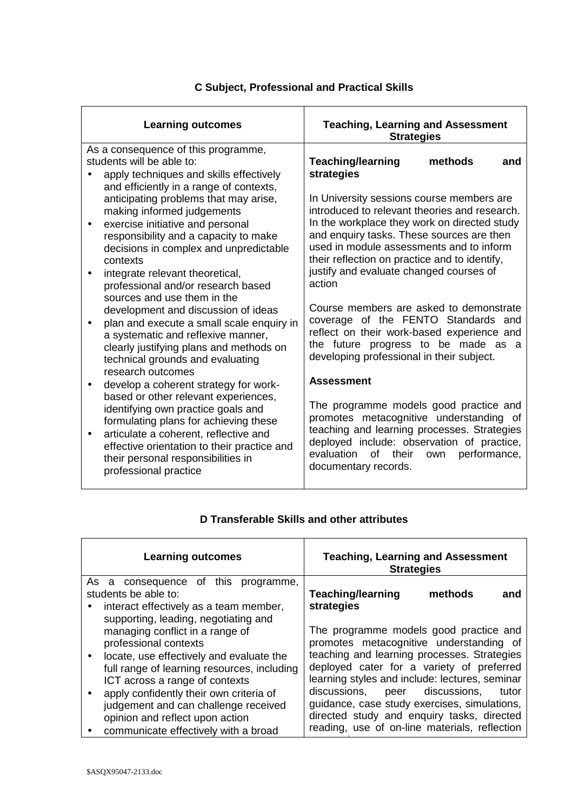| <b>Learning outcomes</b>                                                                                                                                                                                                                                                                                                                                                                                                                                                                                                                                                                                                                                                                                                                                                                                                                                                                                                                                                                                           | <b>Teaching, Learning and Assessment</b><br><b>Strategies</b>                                                                                                                                                                                                                                                                                                                                                                                                                                                                                                                                                                                                                                                                                                                                                                                                                        |
|--------------------------------------------------------------------------------------------------------------------------------------------------------------------------------------------------------------------------------------------------------------------------------------------------------------------------------------------------------------------------------------------------------------------------------------------------------------------------------------------------------------------------------------------------------------------------------------------------------------------------------------------------------------------------------------------------------------------------------------------------------------------------------------------------------------------------------------------------------------------------------------------------------------------------------------------------------------------------------------------------------------------|--------------------------------------------------------------------------------------------------------------------------------------------------------------------------------------------------------------------------------------------------------------------------------------------------------------------------------------------------------------------------------------------------------------------------------------------------------------------------------------------------------------------------------------------------------------------------------------------------------------------------------------------------------------------------------------------------------------------------------------------------------------------------------------------------------------------------------------------------------------------------------------|
| As a consequence of this programme,<br>students will be able to:<br>apply techniques and skills effectively<br>and efficiently in a range of contexts,<br>anticipating problems that may arise,<br>making informed judgements<br>exercise initiative and personal<br>$\bullet$<br>responsibility and a capacity to make<br>decisions in complex and unpredictable<br>contexts<br>integrate relevant theoretical,<br>professional and/or research based<br>sources and use them in the<br>development and discussion of ideas<br>plan and execute a small scale enquiry in<br>$\bullet$<br>a systematic and reflexive manner,<br>clearly justifying plans and methods on<br>technical grounds and evaluating<br>research outcomes<br>develop a coherent strategy for work-<br>$\bullet$<br>based or other relevant experiences,<br>identifying own practice goals and<br>formulating plans for achieving these<br>articulate a coherent, reflective and<br>$\bullet$<br>effective orientation to their practice and | <b>Teaching/learning</b><br>methods<br>and<br>strategies<br>In University sessions course members are<br>introduced to relevant theories and research.<br>In the workplace they work on directed study<br>and enquiry tasks. These sources are then<br>used in module assessments and to inform<br>their reflection on practice and to identify,<br>justify and evaluate changed courses of<br>action<br>Course members are asked to demonstrate<br>coverage of the FENTO Standards and<br>reflect on their work-based experience and<br>the future progress to be made as a<br>developing professional in their subject.<br><b>Assessment</b><br>The programme models good practice and<br>promotes metacognitive understanding of<br>teaching and learning processes. Strategies<br>deployed include: observation of practice,<br>evaluation<br>of<br>their<br>performance,<br>own |
| their personal responsibilities in<br>professional practice                                                                                                                                                                                                                                                                                                                                                                                                                                                                                                                                                                                                                                                                                                                                                                                                                                                                                                                                                        | documentary records.                                                                                                                                                                                                                                                                                                                                                                                                                                                                                                                                                                                                                                                                                                                                                                                                                                                                 |

## **C Subject, Professional and Practical Skills**

| <b>Learning outcomes</b>                                                                                                                                                                                                                                                                                                                                         | <b>Teaching, Learning and Assessment</b><br><b>Strategies</b>                                                                                                                                                                                                                                                                                                                                                                |
|------------------------------------------------------------------------------------------------------------------------------------------------------------------------------------------------------------------------------------------------------------------------------------------------------------------------------------------------------------------|------------------------------------------------------------------------------------------------------------------------------------------------------------------------------------------------------------------------------------------------------------------------------------------------------------------------------------------------------------------------------------------------------------------------------|
| As a consequence of this programme,<br>students be able to:<br>interact effectively as a team member,<br>٠<br>supporting, leading, negotiating and                                                                                                                                                                                                               | <b>Teaching/learning</b><br>methods<br>and<br>strategies                                                                                                                                                                                                                                                                                                                                                                     |
| managing conflict in a range of<br>professional contexts<br>locate, use effectively and evaluate the<br>$\bullet$<br>full range of learning resources, including<br>ICT across a range of contexts<br>apply confidently their own criteria of<br>judgement and can challenge received<br>opinion and reflect upon action<br>communicate effectively with a broad | The programme models good practice and<br>promotes metacognitive understanding of<br>teaching and learning processes. Strategies<br>deployed cater for a variety of preferred<br>learning styles and include: lectures, seminar<br>discussions,<br>peer discussions,<br>tutor<br>guidance, case study exercises, simulations,<br>directed study and enquiry tasks, directed<br>reading, use of on-line materials, reflection |

## **D Transferable Skills and other attributes**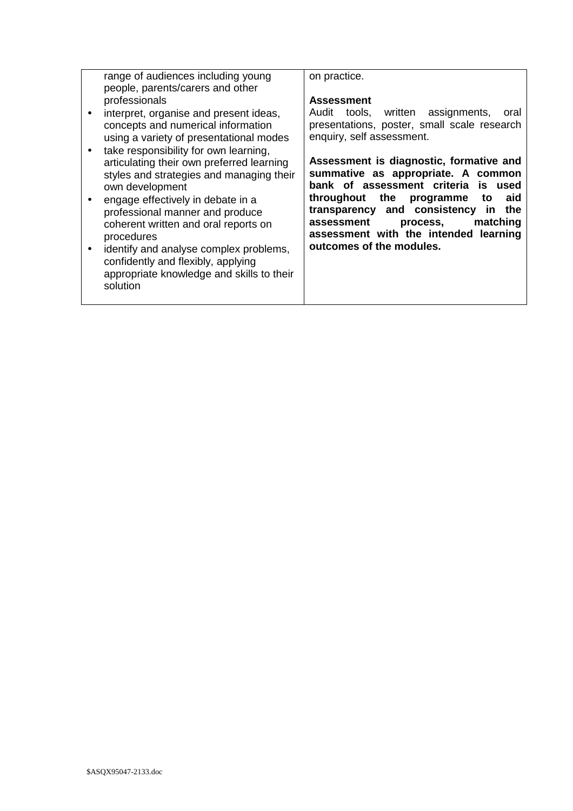| range of audiences including young<br>people, parents/carers and other                                                                            | on practice.                                                                                                                                                      |
|---------------------------------------------------------------------------------------------------------------------------------------------------|-------------------------------------------------------------------------------------------------------------------------------------------------------------------|
| professionals                                                                                                                                     | <b>Assessment</b>                                                                                                                                                 |
| interpret, organise and present ideas,<br>concepts and numerical information<br>using a variety of presentational modes                           | Audit tools, written assignments,<br>oral<br>presentations, poster, small scale research<br>enquiry, self assessment.                                             |
| take responsibility for own learning,<br>articulating their own preferred learning<br>styles and strategies and managing their<br>own development | Assessment is diagnostic, formative and<br>summative as appropriate. A common<br>bank of assessment criteria<br>used<br>İS.                                       |
| engage effectively in debate in a<br>professional manner and produce<br>coherent written and oral reports on<br>procedures                        | throughout<br>the programme<br>to<br>aid<br>transparency and consistency in<br>the<br>matching<br>assessment<br>process,<br>assessment with the intended learning |
| identify and analyse complex problems,<br>confidently and flexibly, applying<br>appropriate knowledge and skills to their<br>solution             | outcomes of the modules.                                                                                                                                          |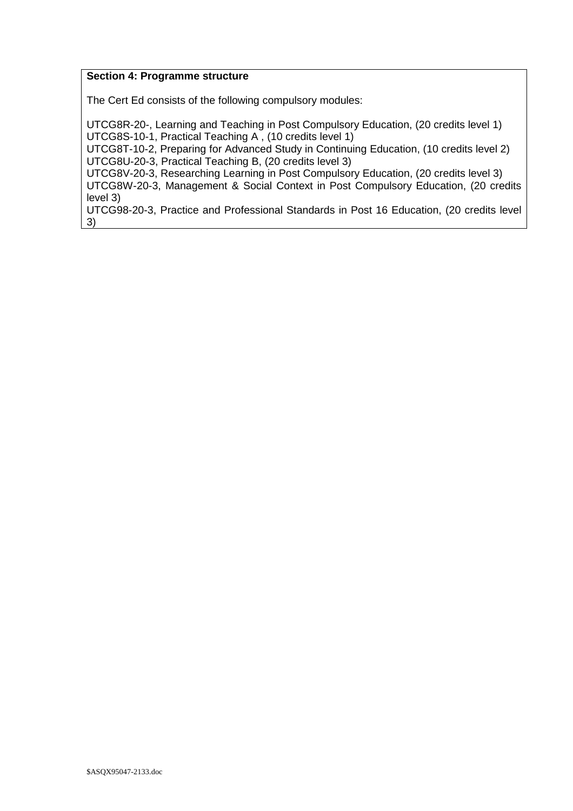#### **Section 4: Programme structure**

The Cert Ed consists of the following compulsory modules:

UTCG8R-20-, Learning and Teaching in Post Compulsory Education, (20 credits level 1) UTCG8S-10-1, Practical Teaching A , (10 credits level 1)

UTCG8T-10-2, Preparing for Advanced Study in Continuing Education, (10 credits level 2) UTCG8U-20-3, Practical Teaching B, (20 credits level 3)

UTCG8V-20-3, Researching Learning in Post Compulsory Education, (20 credits level 3) UTCG8W-20-3, Management & Social Context in Post Compulsory Education, (20 credits level 3)

UTCG98-20-3, Practice and Professional Standards in Post 16 Education, (20 credits level 3)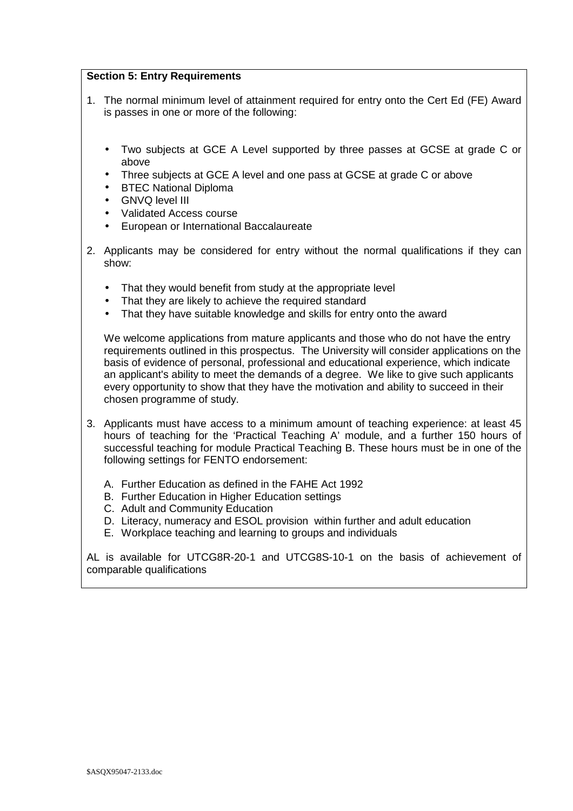#### **Section 5: Entry Requirements**

- 1. The normal minimum level of attainment required for entry onto the Cert Ed (FE) Award is passes in one or more of the following:
	- Two subjects at GCE A Level supported by three passes at GCSE at grade C or above
	- Three subjects at GCE A level and one pass at GCSE at grade C or above
	- BTEC National Diploma
	- GNVQ level III
	- Validated Access course
	- European or International Baccalaureate
- 2. Applicants may be considered for entry without the normal qualifications if they can show:
	- That they would benefit from study at the appropriate level
	- That they are likely to achieve the required standard
	- That they have suitable knowledge and skills for entry onto the award

We welcome applications from mature applicants and those who do not have the entry requirements outlined in this prospectus. The University will consider applications on the basis of evidence of personal, professional and educational experience, which indicate an applicant's ability to meet the demands of a degree. We like to give such applicants every opportunity to show that they have the motivation and ability to succeed in their chosen programme of study.

- 3. Applicants must have access to a minimum amount of teaching experience: at least 45 hours of teaching for the 'Practical Teaching A' module, and a further 150 hours of successful teaching for module Practical Teaching B. These hours must be in one of the following settings for FENTO endorsement:
	- A. Further Education as defined in the FAHE Act 1992
	- B. Further Education in Higher Education settings
	- C. Adult and Community Education
	- D. Literacy, numeracy and ESOL provision within further and adult education
	- E. Workplace teaching and learning to groups and individuals

AL is available for UTCG8R-20-1 and UTCG8S-10-1 on the basis of achievement of comparable qualifications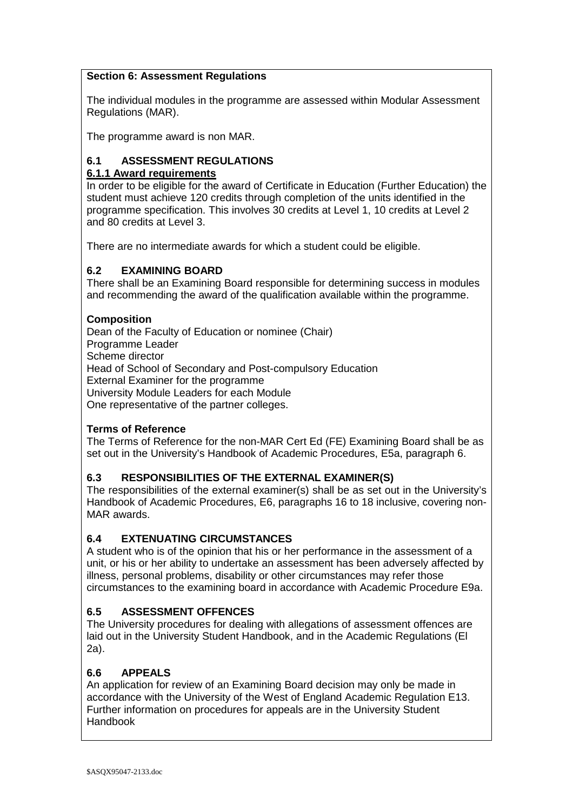#### **Section 6: Assessment Regulations**

The individual modules in the programme are assessed within Modular Assessment Regulations (MAR).

The programme award is non MAR.

## **6.1 ASSESSMENT REGULATIONS**

## **6.1.1 Award requirements**

In order to be eligible for the award of Certificate in Education (Further Education) the student must achieve 120 credits through completion of the units identified in the programme specification. This involves 30 credits at Level 1, 10 credits at Level 2 and 80 credits at Level 3.

There are no intermediate awards for which a student could be eligible.

## **6.2 EXAMINING BOARD**

There shall be an Examining Board responsible for determining success in modules and recommending the award of the qualification available within the programme.

## **Composition**

Dean of the Faculty of Education or nominee (Chair) Programme Leader Scheme director Head of School of Secondary and Post-compulsory Education External Examiner for the programme University Module Leaders for each Module One representative of the partner colleges.

## **Terms of Reference**

The Terms of Reference for the non-MAR Cert Ed (FE) Examining Board shall be as set out in the University's Handbook of Academic Procedures, E5a, paragraph 6.

## **6.3 RESPONSIBILITIES OF THE EXTERNAL EXAMINER(S)**

The responsibilities of the external examiner(s) shall be as set out in the University's Handbook of Academic Procedures, E6, paragraphs 16 to 18 inclusive, covering non-MAR awards.

#### **6.4 EXTENUATING CIRCUMSTANCES**

A student who is of the opinion that his or her performance in the assessment of a unit, or his or her ability to undertake an assessment has been adversely affected by illness, personal problems, disability or other circumstances may refer those circumstances to the examining board in accordance with Academic Procedure E9a.

## **6.5 ASSESSMENT OFFENCES**

The University procedures for dealing with allegations of assessment offences are laid out in the University Student Handbook, and in the Academic Regulations (El 2a).

## **6.6 APPEALS**

An application for review of an Examining Board decision may only be made in accordance with the University of the West of England Academic Regulation E13. Further information on procedures for appeals are in the University Student Handbook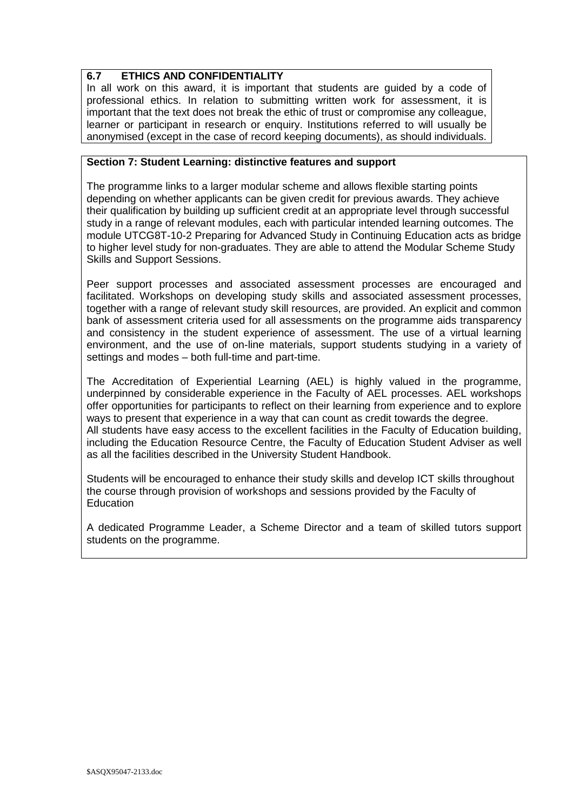## **6.7 ETHICS AND CONFIDENTIALITY**

In all work on this award, it is important that students are guided by a code of professional ethics. In relation to submitting written work for assessment, it is important that the text does not break the ethic of trust or compromise any colleague, learner or participant in research or enquiry. Institutions referred to will usually be anonymised (except in the case of record keeping documents), as should individuals.

#### **Section 7: Student Learning: distinctive features and support**

The programme links to a larger modular scheme and allows flexible starting points depending on whether applicants can be given credit for previous awards. They achieve their qualification by building up sufficient credit at an appropriate level through successful study in a range of relevant modules, each with particular intended learning outcomes. The module UTCG8T-10-2 Preparing for Advanced Study in Continuing Education acts as bridge to higher level study for non-graduates. They are able to attend the Modular Scheme Study Skills and Support Sessions.

Peer support processes and associated assessment processes are encouraged and facilitated. Workshops on developing study skills and associated assessment processes, together with a range of relevant study skill resources, are provided. An explicit and common bank of assessment criteria used for all assessments on the programme aids transparency and consistency in the student experience of assessment. The use of a virtual learning environment, and the use of on-line materials, support students studying in a variety of settings and modes – both full-time and part-time.

The Accreditation of Experiential Learning (AEL) is highly valued in the programme, underpinned by considerable experience in the Faculty of AEL processes. AEL workshops offer opportunities for participants to reflect on their learning from experience and to explore ways to present that experience in a way that can count as credit towards the degree. All students have easy access to the excellent facilities in the Faculty of Education building, including the Education Resource Centre, the Faculty of Education Student Adviser as well as all the facilities described in the University Student Handbook.

Students will be encouraged to enhance their study skills and develop ICT skills throughout the course through provision of workshops and sessions provided by the Faculty of **Education** 

A dedicated Programme Leader, a Scheme Director and a team of skilled tutors support students on the programme.